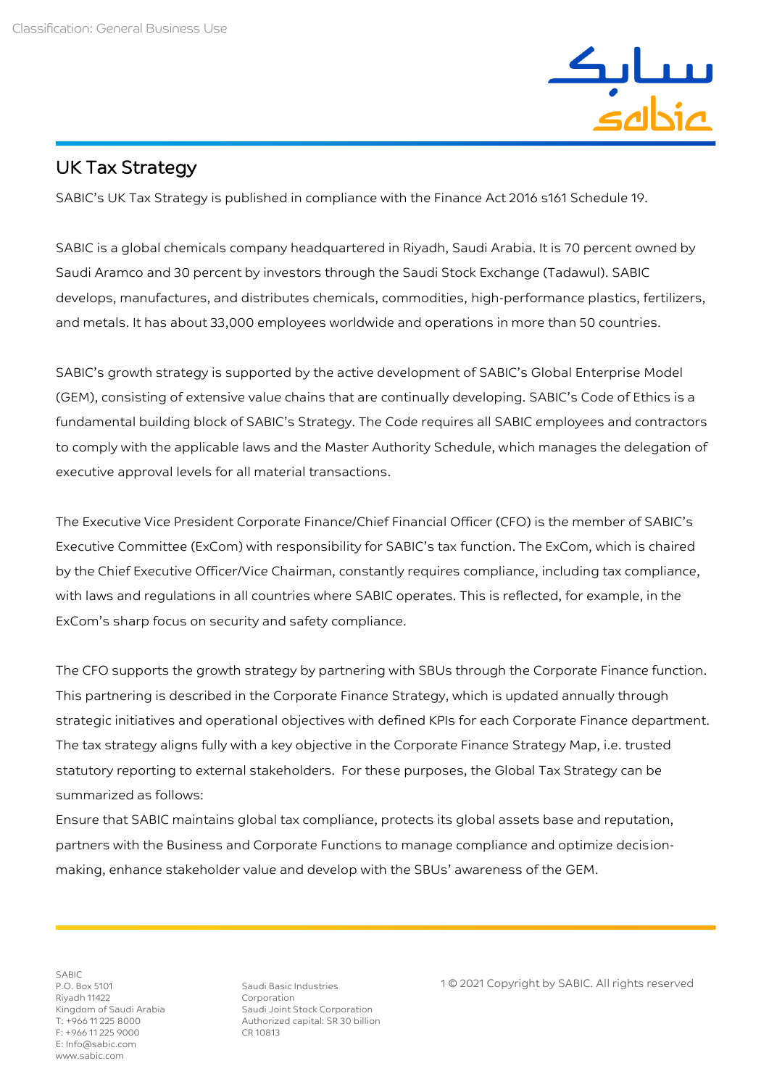

## UK Tax Strategy

 $\overline{a}$ 

SABIC's UK Tax Strategy is published in compliance with the Finance Act 2016 s161 Schedule 19.

SABIC is a global chemicals company headquartered in Riyadh, Saudi Arabia. It is 70 percent owned by Saudi Aramco and 30 percent by investors through the Saudi Stock Exchange (Tadawul). SABIC develops, manufactures, and distributes chemicals, commodities, high-performance plastics, fertilizers, and metals. It has about 33,000 employees worldwide and operations in more than 50 countries.

SABIC's growth strategy is supported by the active development of SABIC's Global Enterprise Model (GEM), consisting of extensive value chains that are continually developing. SABIC's Code of Ethics is a fundamental building block of SABIC's Strategy. The Code requires all SABIC employees and contractors to comply with the applicable laws and the Master Authority Schedule, which manages the delegation of executive approval levels for all material transactions.

The Executive Vice President Corporate Finance/Chief Financial Officer (CFO) is the member of SABIC's Executive Committee (ExCom) with responsibility for SABIC's tax function. The ExCom, which is chaired by the Chief Executive Officer/Vice Chairman, constantly requires compliance, including tax compliance, with laws and regulations in all countries where SABIC operates. This is reflected, for example, in the ExCom's sharp focus on security and safety compliance.

The CFO supports the growth strategy by partnering with SBUs through the Corporate Finance function. This partnering is described in the Corporate Finance Strategy, which is updated annually through strategic initiatives and operational objectives with defined KPIs for each Corporate Finance department. The tax strategy aligns fully with a key objective in the Corporate Finance Strategy Map, i.e. trusted statutory reporting to external stakeholders. For these purposes, the Global Tax Strategy can be summarized as follows:

Ensure that SABIC maintains global tax compliance, protects its global assets base and reputation, partners with the Business and Corporate Functions to manage compliance and optimize decisionmaking, enhance stakeholder value and develop with the SBUs' awareness of the GEM.

SABIC P.O. Box 5101 Riyadh 11422 Kingdom of Saudi Arabia T: +966 11 225 8000 F: +966 11 225 9000 E: Info@sabic.com www.sabic.com

Saudi Basic Industries Corporation Saudi Joint Stock Corporation Authorized capital: SR 30 billion CR 10813

1 © 2021 Copyright by SABIC. All rights reserved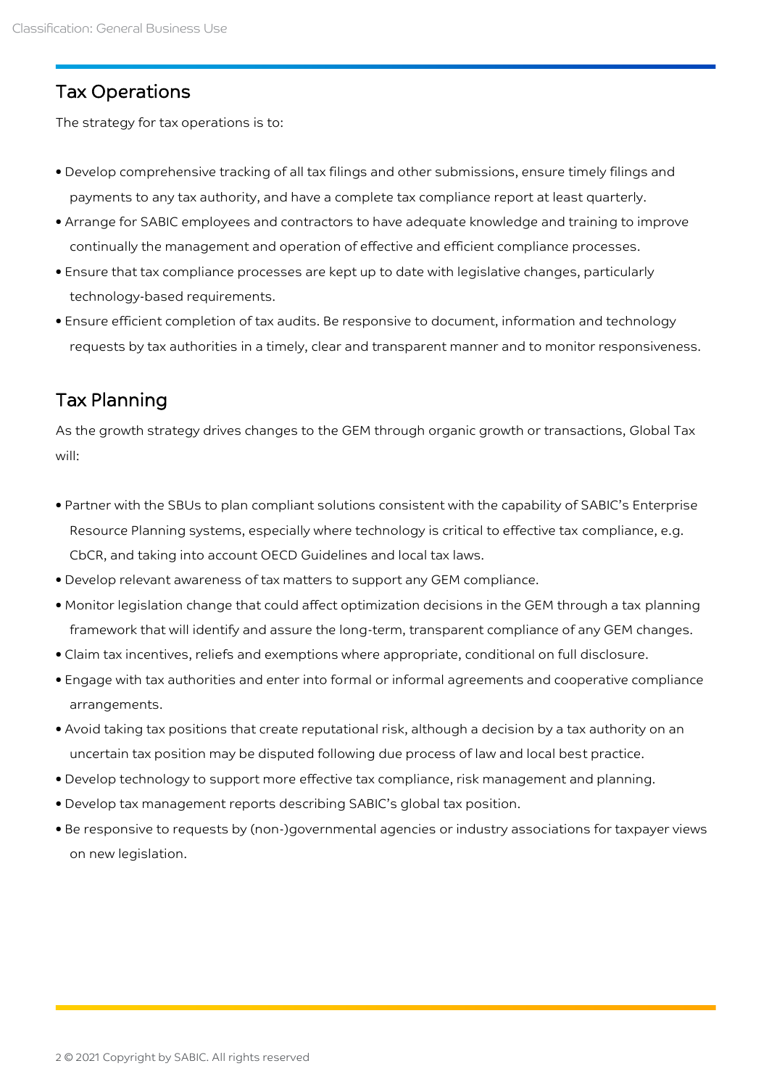## Tax Operations

The strategy for tax operations is to:

- Develop comprehensive tracking of all tax filings and other submissions, ensure timely filings and payments to any tax authority, and have a complete tax compliance report at least quarterly.
- Arrange for SABIC employees and contractors to have adequate knowledge and training to improve continually the management and operation of effective and efficient compliance processes.
- Ensure that tax compliance processes are kept up to date with legislative changes, particularly technology-based requirements.
- Ensure efficient completion of tax audits. Be responsive to document, information and technology requests by tax authorities in a timely, clear and transparent manner and to monitor responsiveness.

## Tax Planning

As the growth strategy drives changes to the GEM through organic growth or transactions, Global Tax will:

- Partner with the SBUs to plan compliant solutions consistent with the capability of SABIC's Enterprise Resource Planning systems, especially where technology is critical to effective tax compliance, e.g. CbCR, and taking into account OECD Guidelines and local tax laws.
- Develop relevant awareness of tax matters to support any GEM compliance.
- Monitor legislation change that could affect optimization decisions in the GEM through a tax planning framework that will identify and assure the long-term, transparent compliance of any GEM changes.
- Claim tax incentives, reliefs and exemptions where appropriate, conditional on full disclosure.
- Engage with tax authorities and enter into formal or informal agreements and cooperative compliance arrangements.
- Avoid taking tax positions that create reputational risk, although a decision by a tax authority on an uncertain tax position may be disputed following due process of law and local best practice.
- Develop technology to support more effective tax compliance, risk management and planning.
- Develop tax management reports describing SABIC's global tax position.
- Be responsive to requests by (non-)governmental agencies or industry associations for taxpayer views on new legislation.

 $\overline{a}$